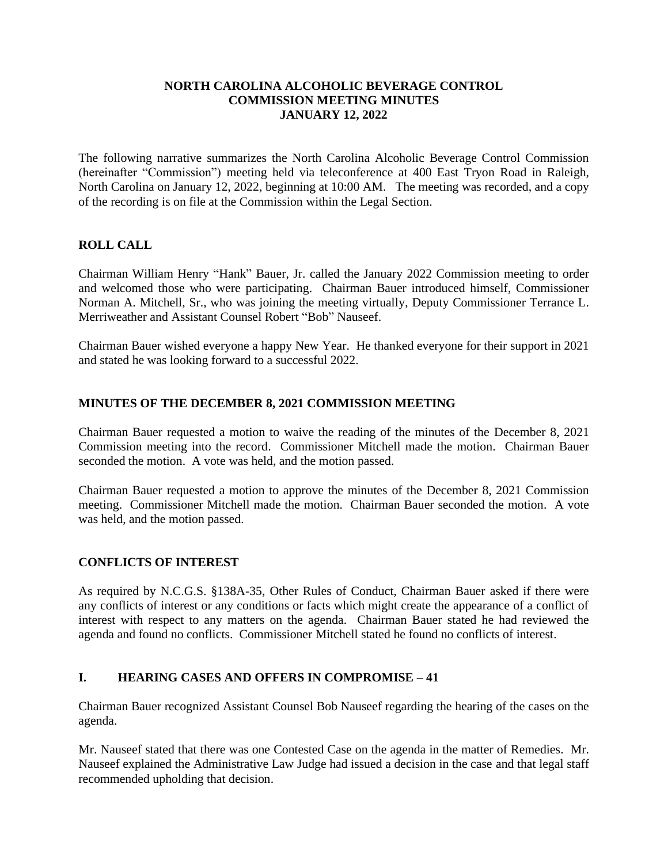#### **NORTH CAROLINA ALCOHOLIC BEVERAGE CONTROL COMMISSION MEETING MINUTES JANUARY 12, 2022**

The following narrative summarizes the North Carolina Alcoholic Beverage Control Commission (hereinafter "Commission") meeting held via teleconference at 400 East Tryon Road in Raleigh, North Carolina on January 12, 2022, beginning at 10:00 AM. The meeting was recorded, and a copy of the recording is on file at the Commission within the Legal Section.

# **ROLL CALL**

Chairman William Henry "Hank" Bauer, Jr. called the January 2022 Commission meeting to order and welcomed those who were participating. Chairman Bauer introduced himself, Commissioner Norman A. Mitchell, Sr., who was joining the meeting virtually, Deputy Commissioner Terrance L. Merriweather and Assistant Counsel Robert "Bob" Nauseef.

Chairman Bauer wished everyone a happy New Year. He thanked everyone for their support in 2021 and stated he was looking forward to a successful 2022.

#### **MINUTES OF THE DECEMBER 8, 2021 COMMISSION MEETING**

Chairman Bauer requested a motion to waive the reading of the minutes of the December 8, 2021 Commission meeting into the record. Commissioner Mitchell made the motion. Chairman Bauer seconded the motion. A vote was held, and the motion passed.

Chairman Bauer requested a motion to approve the minutes of the December 8, 2021 Commission meeting. Commissioner Mitchell made the motion. Chairman Bauer seconded the motion. A vote was held, and the motion passed.

### **CONFLICTS OF INTEREST**

As required by N.C.G.S. §138A-35, Other Rules of Conduct, Chairman Bauer asked if there were any conflicts of interest or any conditions or facts which might create the appearance of a conflict of interest with respect to any matters on the agenda. Chairman Bauer stated he had reviewed the agenda and found no conflicts. Commissioner Mitchell stated he found no conflicts of interest.

### **I. HEARING CASES AND OFFERS IN COMPROMISE – 41**

Chairman Bauer recognized Assistant Counsel Bob Nauseef regarding the hearing of the cases on the agenda.

Mr. Nauseef stated that there was one Contested Case on the agenda in the matter of Remedies. Mr. Nauseef explained the Administrative Law Judge had issued a decision in the case and that legal staff recommended upholding that decision.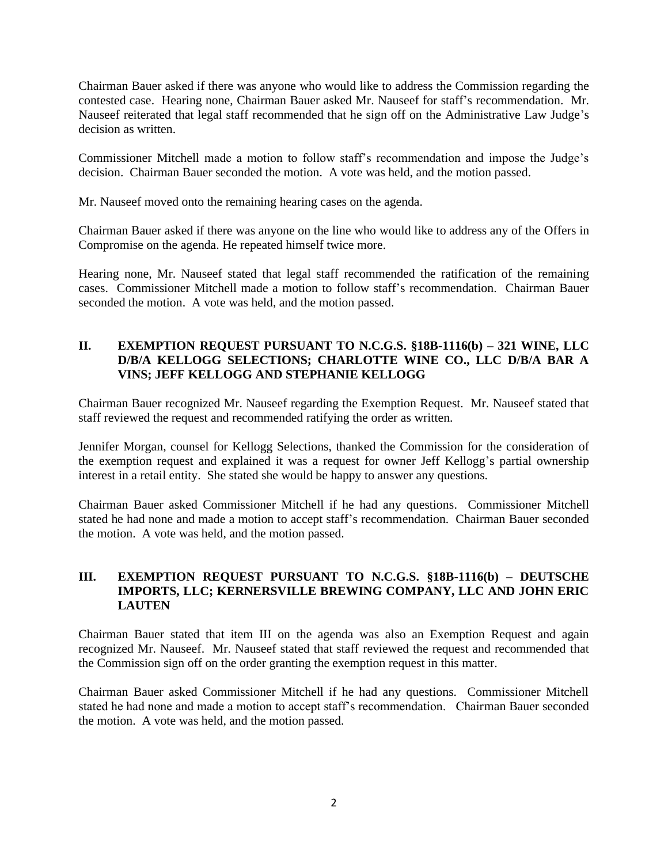Chairman Bauer asked if there was anyone who would like to address the Commission regarding the contested case. Hearing none, Chairman Bauer asked Mr. Nauseef for staff's recommendation. Mr. Nauseef reiterated that legal staff recommended that he sign off on the Administrative Law Judge's decision as written.

Commissioner Mitchell made a motion to follow staff's recommendation and impose the Judge's decision. Chairman Bauer seconded the motion. A vote was held, and the motion passed.

Mr. Nauseef moved onto the remaining hearing cases on the agenda.

Chairman Bauer asked if there was anyone on the line who would like to address any of the Offers in Compromise on the agenda. He repeated himself twice more.

Hearing none, Mr. Nauseef stated that legal staff recommended the ratification of the remaining cases. Commissioner Mitchell made a motion to follow staff's recommendation. Chairman Bauer seconded the motion. A vote was held, and the motion passed.

# **II. EXEMPTION REQUEST PURSUANT TO N.C.G.S. §18B-1116(b) – 321 WINE, LLC D/B/A KELLOGG SELECTIONS; CHARLOTTE WINE CO., LLC D/B/A BAR A VINS; JEFF KELLOGG AND STEPHANIE KELLOGG**

Chairman Bauer recognized Mr. Nauseef regarding the Exemption Request. Mr. Nauseef stated that staff reviewed the request and recommended ratifying the order as written.

Jennifer Morgan, counsel for Kellogg Selections, thanked the Commission for the consideration of the exemption request and explained it was a request for owner Jeff Kellogg's partial ownership interest in a retail entity. She stated she would be happy to answer any questions.

Chairman Bauer asked Commissioner Mitchell if he had any questions. Commissioner Mitchell stated he had none and made a motion to accept staff's recommendation. Chairman Bauer seconded the motion. A vote was held, and the motion passed.

### **III. EXEMPTION REQUEST PURSUANT TO N.C.G.S. §18B-1116(b) – DEUTSCHE IMPORTS, LLC; KERNERSVILLE BREWING COMPANY, LLC AND JOHN ERIC LAUTEN**

Chairman Bauer stated that item III on the agenda was also an Exemption Request and again recognized Mr. Nauseef. Mr. Nauseef stated that staff reviewed the request and recommended that the Commission sign off on the order granting the exemption request in this matter.

Chairman Bauer asked Commissioner Mitchell if he had any questions. Commissioner Mitchell stated he had none and made a motion to accept staff's recommendation. Chairman Bauer seconded the motion. A vote was held, and the motion passed.